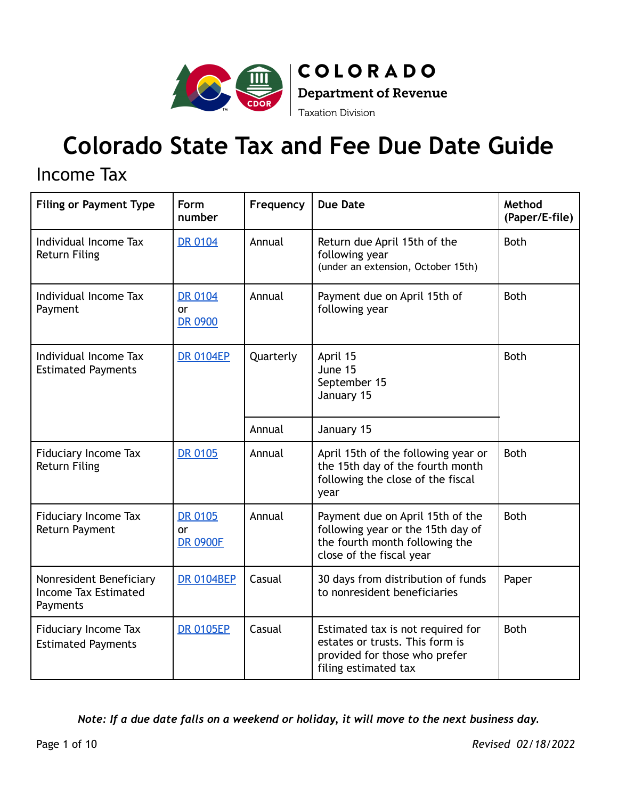

**COLORADO**  $\big|$  Department of Revenue **Taxation Division** 

# **Colorado State Tax and Fee Due Date Guide**

#### Income Tax

| <b>Filing or Payment Type</b>                                      | Form<br>number                          | Frequency                                                      | <b>Due Date</b>                                                                                                                     | Method<br>(Paper/E-file) |
|--------------------------------------------------------------------|-----------------------------------------|----------------------------------------------------------------|-------------------------------------------------------------------------------------------------------------------------------------|--------------------------|
| Individual Income Tax<br><b>Return Filing</b>                      | <b>DR 0104</b>                          | Annual                                                         | Return due April 15th of the<br>following year<br>(under an extension, October 15th)                                                | <b>Both</b>              |
| Individual Income Tax<br>Payment                                   | <b>DR 0104</b><br><b>or</b><br>DR 0900  | Annual                                                         | Payment due on April 15th of<br>following year                                                                                      | <b>Both</b>              |
| Individual Income Tax<br><b>Estimated Payments</b>                 | <b>DR 0104EP</b>                        | Quarterly<br>April 15<br>June 15<br>September 15<br>January 15 |                                                                                                                                     | <b>Both</b>              |
|                                                                    |                                         | Annual                                                         | January 15                                                                                                                          |                          |
| <b>Fiduciary Income Tax</b><br><b>Return Filing</b>                | <b>DR 0105</b>                          | Annual                                                         | April 15th of the following year or<br>the 15th day of the fourth month<br>following the close of the fiscal<br>year                | <b>Both</b>              |
| <b>Fiduciary Income Tax</b><br><b>Return Payment</b>               | <b>DR 0105</b><br>or<br><b>DR 0900F</b> | Annual                                                         | Payment due on April 15th of the<br>following year or the 15th day of<br>the fourth month following the<br>close of the fiscal year | <b>Both</b>              |
| Nonresident Beneficiary<br><b>Income Tax Estimated</b><br>Payments | <b>DR 0104BEP</b>                       | Casual                                                         | 30 days from distribution of funds<br>to nonresident beneficiaries                                                                  | Paper                    |
| <b>Fiduciary Income Tax</b><br><b>Estimated Payments</b>           | <b>DR 0105EP</b>                        | Casual                                                         | Estimated tax is not required for<br>estates or trusts. This form is<br>provided for those who prefer<br>filing estimated tax       | <b>Both</b>              |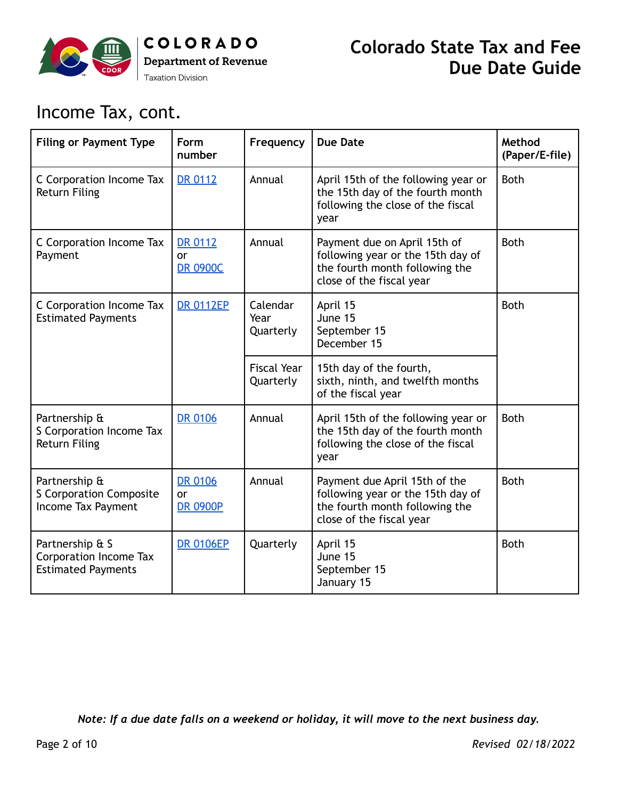

## Income Tax, cont.

| <b>Filing or Payment Type</b>                                                 | Form<br>number                                 | Frequency                       | <b>Due Date</b>                                                                                                                  | Method<br>(Paper/E-file) |
|-------------------------------------------------------------------------------|------------------------------------------------|---------------------------------|----------------------------------------------------------------------------------------------------------------------------------|--------------------------|
| C Corporation Income Tax<br><b>Return Filing</b>                              | <b>DR 0112</b>                                 | Annual                          | April 15th of the following year or<br>the 15th day of the fourth month<br>following the close of the fiscal<br>year             | <b>Both</b>              |
| C Corporation Income Tax<br>Payment                                           | <b>DR 0112</b><br>or<br><b>DR 0900C</b>        | Annual                          | Payment due on April 15th of<br>following year or the 15th day of<br>the fourth month following the<br>close of the fiscal year  | <b>Both</b>              |
| C Corporation Income Tax<br><b>Estimated Payments</b>                         | <b>DR 0112EP</b>                               | Calendar<br>Year<br>Quarterly   | April 15<br>June 15<br>September 15<br>December 15                                                                               | <b>Both</b>              |
|                                                                               |                                                | <b>Fiscal Year</b><br>Quarterly | 15th day of the fourth,<br>sixth, ninth, and twelfth months<br>of the fiscal year                                                |                          |
| Partnership &<br>S Corporation Income Tax<br><b>Return Filing</b>             | <b>DR 0106</b>                                 | Annual                          | April 15th of the following year or<br>the 15th day of the fourth month<br>following the close of the fiscal<br>year             | <b>Both</b>              |
| Partnership &<br><b>S Corporation Composite</b><br><b>Income Tax Payment</b>  | <b>DR 0106</b><br><b>or</b><br><b>DR 0900P</b> | Annual                          | Payment due April 15th of the<br>following year or the 15th day of<br>the fourth month following the<br>close of the fiscal year | <b>Both</b>              |
| Partnership & S<br><b>Corporation Income Tax</b><br><b>Estimated Payments</b> | <b>DR 0106EP</b>                               | Quarterly                       | April 15<br>June 15<br>September 15<br>January 15                                                                                | <b>Both</b>              |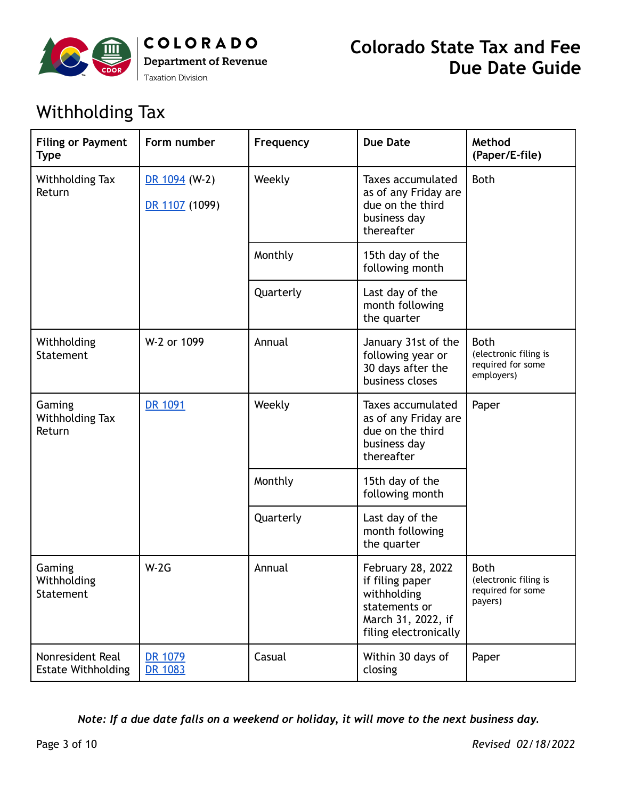

## Withholding Tax

| <b>Filing or Payment</b><br><b>Type</b>       | Form number                     | Frequency | <b>Due Date</b>                                                                                                     | Method<br>(Paper/E-file)                                                |
|-----------------------------------------------|---------------------------------|-----------|---------------------------------------------------------------------------------------------------------------------|-------------------------------------------------------------------------|
| Withholding Tax<br>Return                     | DR 1094 (W-2)<br>DR 1107 (1099) | Weekly    | Taxes accumulated<br>as of any Friday are<br>due on the third<br>business day<br>thereafter                         | <b>Both</b>                                                             |
|                                               |                                 | Monthly   | 15th day of the<br>following month                                                                                  |                                                                         |
|                                               |                                 | Quarterly | Last day of the<br>month following<br>the quarter                                                                   |                                                                         |
| Withholding<br><b>Statement</b>               | W-2 or 1099                     | Annual    | January 31st of the<br>following year or<br>30 days after the<br>business closes                                    | <b>Both</b><br>(electronic filing is<br>required for some<br>employers) |
| Gaming<br><b>Withholding Tax</b><br>Return    | DR 1091                         | Weekly    | <b>Taxes accumulated</b><br>as of any Friday are<br>due on the third<br>business day<br>thereafter                  | Paper                                                                   |
|                                               |                                 | Monthly   | 15th day of the<br>following month                                                                                  |                                                                         |
|                                               |                                 | Quarterly | Last day of the<br>month following<br>the quarter                                                                   |                                                                         |
| Gaming<br>Withholding<br>Statement            | $W-2G$                          | Annual    | February 28, 2022<br>if filing paper<br>withholding<br>statements or<br>March 31, 2022, if<br>filing electronically | <b>Both</b><br>(electronic filing is<br>required for some<br>payers)    |
| Nonresident Real<br><b>Estate Withholding</b> | DR 1079<br>DR 1083              | Casual    | Within 30 days of<br>closing                                                                                        | Paper                                                                   |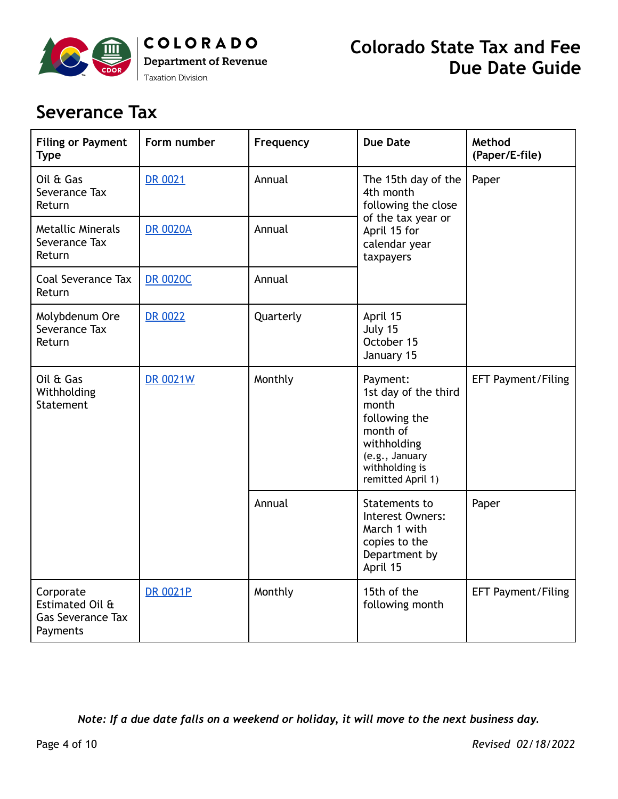

#### **Severance Tax**

| <b>Filing or Payment</b><br><b>Type</b>                              | Form number     | Frequency | <b>Due Date</b>                                                                                                                                | Method<br>(Paper/E-file)  |
|----------------------------------------------------------------------|-----------------|-----------|------------------------------------------------------------------------------------------------------------------------------------------------|---------------------------|
| Oil & Gas<br>Severance Tax<br>Return                                 | <b>DR 0021</b>  | Annual    | The 15th day of the<br>4th month<br>following the close                                                                                        | Paper                     |
| <b>Metallic Minerals</b><br>Severance Tax<br>Return                  | <b>DR 0020A</b> | Annual    | of the tax year or<br>April 15 for<br>calendar year<br>taxpayers                                                                               |                           |
| <b>Coal Severance Tax</b><br>Return                                  | <b>DR 0020C</b> | Annual    |                                                                                                                                                |                           |
| Molybdenum Ore<br>Severance Tax<br>Return                            | <b>DR 0022</b>  | Quarterly | April 15<br>July 15<br>October 15<br>January 15                                                                                                |                           |
| Oil & Gas<br>Withholding<br>Statement                                | <b>DR 0021W</b> | Monthly   | Payment:<br>1st day of the third<br>month<br>following the<br>month of<br>withholding<br>(e.g., January<br>withholding is<br>remitted April 1) | <b>EFT Payment/Filing</b> |
|                                                                      |                 | Annual    | Statements to<br>Interest Owners:<br>March 1 with<br>copies to the<br>Department by<br>April 15                                                | Paper                     |
| Corporate<br>Estimated Oil &<br><b>Gas Severance Tax</b><br>Payments | <b>DR 0021P</b> | Monthly   | 15th of the<br>following month                                                                                                                 | <b>EFT Payment/Filing</b> |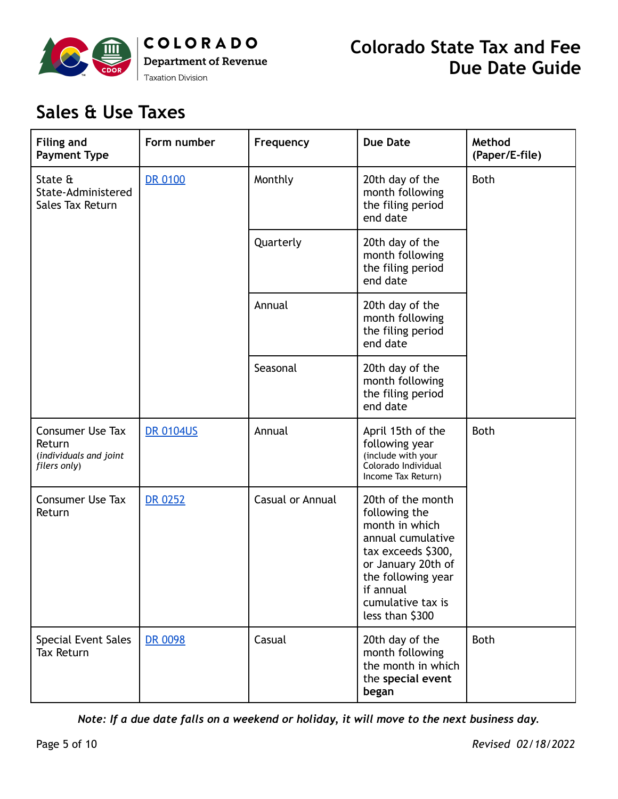

# **Sales & Use Taxes**

| <b>Filing and</b><br><b>Payment Type</b>                                    | Form number      | Frequency        | <b>Due Date</b>                                                                                                                                                                                  | Method<br>(Paper/E-file) |
|-----------------------------------------------------------------------------|------------------|------------------|--------------------------------------------------------------------------------------------------------------------------------------------------------------------------------------------------|--------------------------|
| State &<br>State-Administered<br>Sales Tax Return                           | <b>DR 0100</b>   | Monthly          | 20th day of the<br>month following<br>the filing period<br>end date                                                                                                                              | <b>Both</b>              |
|                                                                             |                  | Quarterly        | 20th day of the<br>month following<br>the filing period<br>end date                                                                                                                              |                          |
|                                                                             |                  | Annual           | 20th day of the<br>month following<br>the filing period<br>end date                                                                                                                              |                          |
|                                                                             |                  | Seasonal         | 20th day of the<br>month following<br>the filing period<br>end date                                                                                                                              |                          |
| <b>Consumer Use Tax</b><br>Return<br>(individuals and joint<br>filers only) | <b>DR 0104US</b> | Annual           | April 15th of the<br>following year<br>(include with your<br>Colorado Individual<br>Income Tax Return)                                                                                           | <b>Both</b>              |
| <b>Consumer Use Tax</b><br>Return                                           | <b>DR 0252</b>   | Casual or Annual | 20th of the month<br>following the<br>month in which<br>annual cumulative<br>tax exceeds \$300,<br>or January 20th of<br>the following year<br>if annual<br>cumulative tax is<br>less than \$300 |                          |
| Special Event Sales<br><b>Tax Return</b>                                    | DR 0098          | Casual           | 20th day of the<br>month following<br>the month in which<br>the special event<br>began                                                                                                           | <b>Both</b>              |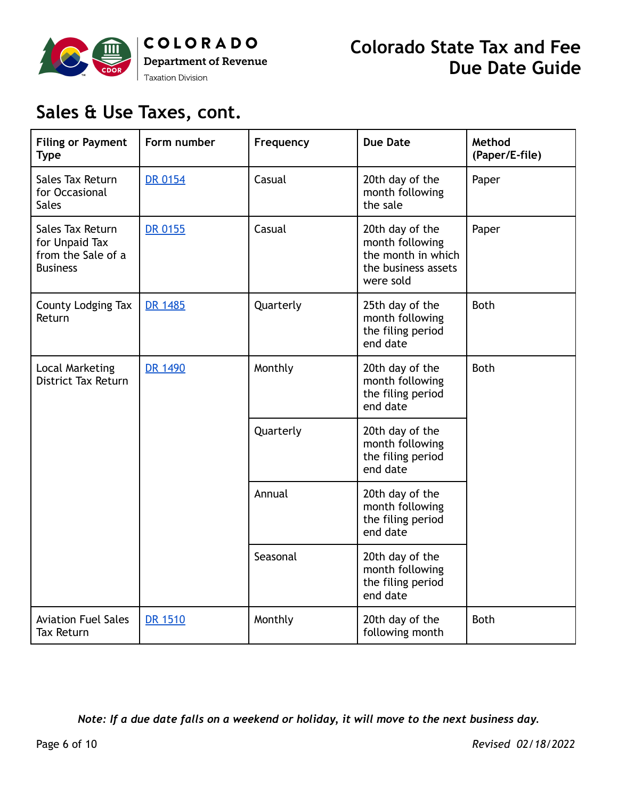

# **Sales & Use Taxes, cont.**

| <b>Filing or Payment</b><br><b>Type</b>                                     | Form number    | Frequency | <b>Due Date</b>                                                                              | Method<br>(Paper/E-file) |
|-----------------------------------------------------------------------------|----------------|-----------|----------------------------------------------------------------------------------------------|--------------------------|
| <b>Sales Tax Return</b><br>for Occasional<br><b>Sales</b>                   | <b>DR 0154</b> | Casual    | 20th day of the<br>month following<br>the sale                                               | Paper                    |
| Sales Tax Return<br>for Unpaid Tax<br>from the Sale of a<br><b>Business</b> | <b>DR 0155</b> | Casual    | 20th day of the<br>month following<br>the month in which<br>the business assets<br>were sold | Paper                    |
| County Lodging Tax<br>Return                                                | DR 1485        | Quarterly | 25th day of the<br>month following<br>the filing period<br>end date                          | <b>Both</b>              |
| <b>Local Marketing</b><br><b>District Tax Return</b>                        | DR 1490        | Monthly   | 20th day of the<br>month following<br>the filing period<br>end date                          | <b>Both</b>              |
|                                                                             |                | Quarterly | 20th day of the<br>month following<br>the filing period<br>end date                          |                          |
|                                                                             |                | Annual    | 20th day of the<br>month following<br>the filing period<br>end date                          |                          |
|                                                                             |                | Seasonal  | 20th day of the<br>month following<br>the filing period<br>end date                          |                          |
| <b>Aviation Fuel Sales</b><br><b>Tax Return</b>                             | DR 1510        | Monthly   | 20th day of the<br>following month                                                           | <b>Both</b>              |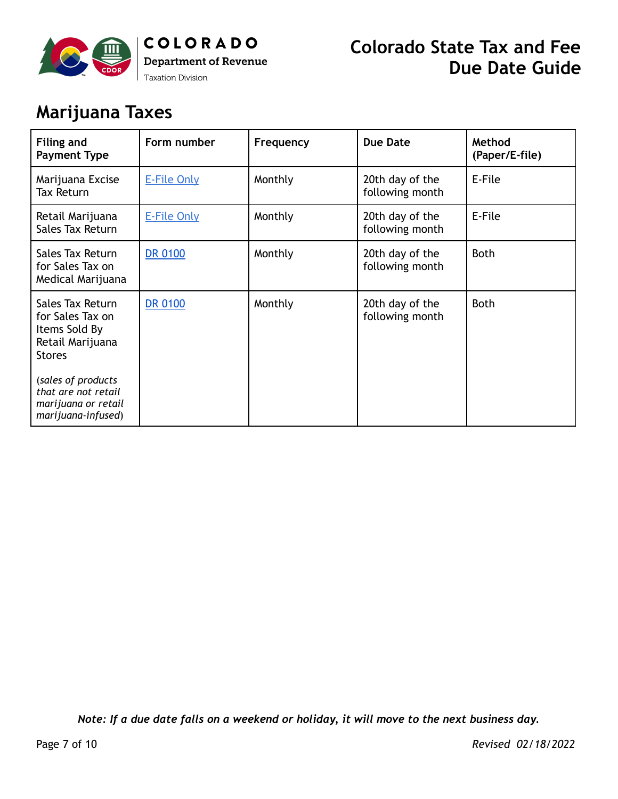

## **Marijuana Taxes**

| <b>Filing and</b><br><b>Payment Type</b>                                                   | Form number        | Frequency | <b>Due Date</b>                    | Method<br>(Paper/E-file) |
|--------------------------------------------------------------------------------------------|--------------------|-----------|------------------------------------|--------------------------|
| Marijuana Excise<br>Tax Return                                                             | <b>E-File Only</b> | Monthly   | 20th day of the<br>following month | E-File                   |
| Retail Marijuana<br>Sales Tax Return                                                       | <b>E-File Only</b> | Monthly   | 20th day of the<br>following month | E-File                   |
| Sales Tax Return<br>for Sales Tax on<br>Medical Marijuana                                  | <b>DR 0100</b>     | Monthly   | 20th day of the<br>following month | <b>Both</b>              |
| Sales Tax Return<br>for Sales Tax on<br>Items Sold By<br>Retail Marijuana<br><b>Stores</b> | <b>DR 0100</b>     | Monthly   | 20th day of the<br>following month | <b>Both</b>              |
| (sales of products<br>that are not retail<br>marijuana or retail<br>marijuana-infused)     |                    |           |                                    |                          |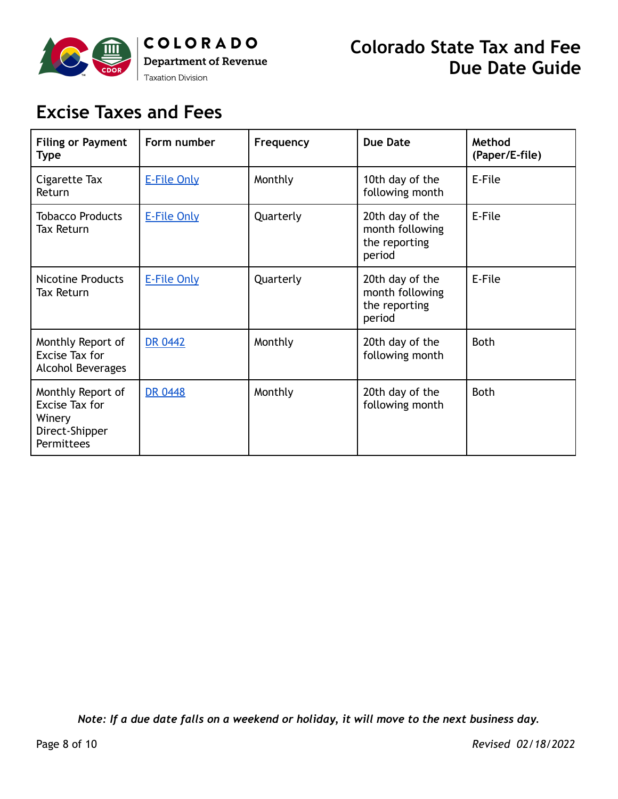

# **Excise Taxes and Fees**

| <b>Filing or Payment</b><br><b>Type</b>                                              | Form number        | Frequency | <b>Due Date</b>                                               | Method<br>(Paper/E-file) |
|--------------------------------------------------------------------------------------|--------------------|-----------|---------------------------------------------------------------|--------------------------|
| Cigarette Tax<br>Return                                                              | <b>E-File Only</b> | Monthly   | 10th day of the<br>following month                            | E-File                   |
| <b>Tobacco Products</b><br>Tax Return                                                | <b>E-File Only</b> | Quarterly | 20th day of the<br>month following<br>the reporting<br>period | E-File                   |
| <b>Nicotine Products</b><br><b>Tax Return</b>                                        | <b>E-File Only</b> | Quarterly | 20th day of the<br>month following<br>the reporting<br>period | E-File                   |
| Monthly Report of<br>Excise Tax for<br>Alcohol Beverages                             | <b>DR 0442</b>     | Monthly   | 20th day of the<br>following month                            | <b>Both</b>              |
| Monthly Report of<br>Excise Tax for<br>Winery<br>Direct-Shipper<br><b>Permittees</b> | <b>DR 0448</b>     | Monthly   | 20th day of the<br>following month                            | <b>Both</b>              |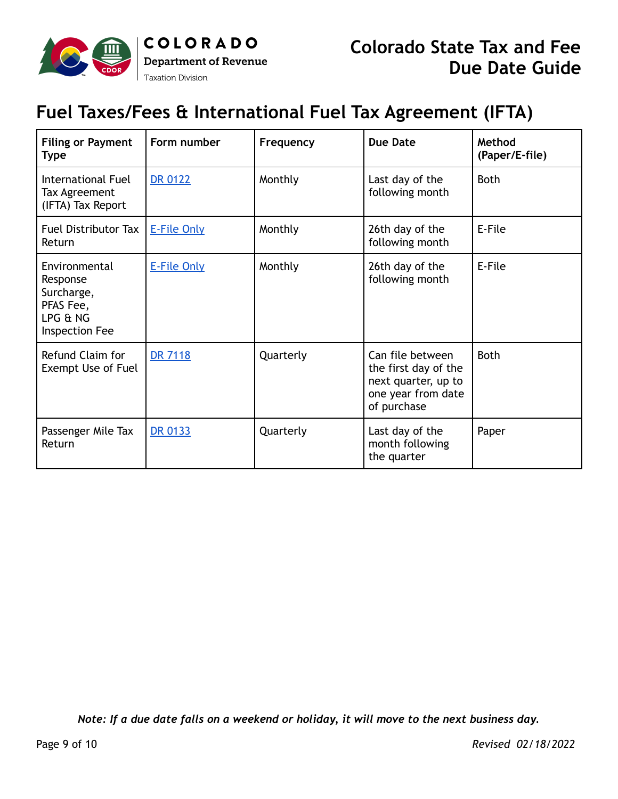

### **Fuel Taxes/Fees & International Fuel Tax Agreement (IFTA)**

| <b>Filing or Payment</b><br><b>Type</b>                                            | Form number        | Frequency | <b>Due Date</b>                                                                                      | Method<br>(Paper/E-file) |
|------------------------------------------------------------------------------------|--------------------|-----------|------------------------------------------------------------------------------------------------------|--------------------------|
| International Fuel<br>Tax Agreement<br>(IFTA) Tax Report                           | <b>DR 0122</b>     | Monthly   | Last day of the<br>following month                                                                   | <b>Both</b>              |
| Fuel Distributor Tax<br>Return                                                     | <b>E-File Only</b> | Monthly   | 26th day of the<br>following month                                                                   | E-File                   |
| Environmental<br>Response<br>Surcharge,<br>PFAS Fee,<br>LPG & NG<br>Inspection Fee | <b>E-File Only</b> | Monthly   | 26th day of the<br>following month                                                                   | E-File                   |
| Refund Claim for<br>Exempt Use of Fuel                                             | <b>DR 7118</b>     | Quarterly | Can file between<br>the first day of the<br>next quarter, up to<br>one year from date<br>of purchase | <b>Both</b>              |
| Passenger Mile Tax<br>Return                                                       | <b>DR 0133</b>     | Quarterly | Last day of the<br>month following<br>the quarter                                                    | Paper                    |